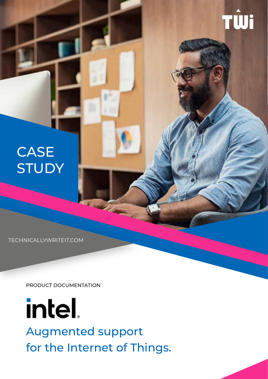## **CASE STUDY**

TECHNICALLYWRITEIT.COM

PRODUCT DOCUMENTATION



Augmented support for the Internet of Things.

**RAY** 

TŴi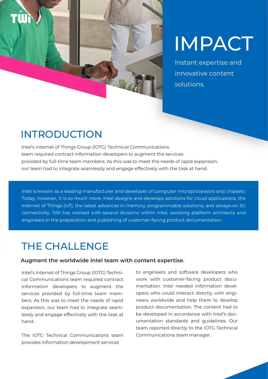

# IMPACT

Instant expertise and innovative content solutions.

## INTRODUCTION

Intel's Internet of Things Group (IOTG) Technical Communications team required contract information developers to augment the services provided by full-time team members. As this was to meet the needs of rapid expansion, our team had to integrate seamlessly and engage effectively with the task at hand.

Intel is known as a leading manufacturer and developer of computer microprocessors and chipsets. Today, however, it is so much more. Intel designs and develops solutions for cloud applications, the Internet of Things (IoT), the latest advances in memory, programmable solutions, and always-on 5G connectivity. TWi has worked with several divisions within Intel, assisting platform architects and engineers in the preparation and publishing of customer-facing product documentation.

### THE CHALLENGE

#### **Augment the worldwide Intel team with content expertise.**

Intel's Internet of Things Group (IOTG) Technical Communications team required contract information developers to augment the services provided by full-time team members. As this was to meet the needs of rapid expansion, our team had to integrate seamlessly and engage effectively with the task at hand.

The IOTG Technical Communications team provides information development services

to engineers and software developers who work with customer-facing product documentation. Intel needed information developers who could interact directly with engineers worldwide and help them to develop product documentation. The content had to be developed in accordance with Intel's documentation standards and guidelines. Our team reported directly to the IOTG Technical Communications team manager.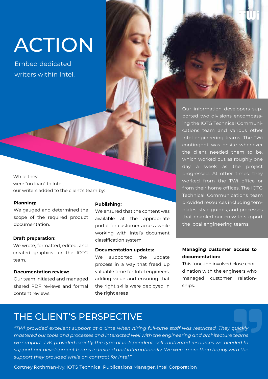# ACTION

Embed dedicated writers within Intel.



While they were "on loan" to Intel, our writers added to the client's team by:

#### **Planning:**

We gauged and determined the scope of the required product documentation.

#### **Draft preparation:**

We wrote, formatted, edited, and created graphics for the IOTG team.

#### **Documentation review:**

Our team initiated and managed shared PDF reviews and formal content reviews.

#### **Publishing:**

We ensured that the content was available at the appropriate portal for customer access while working with Intel's document classification system.

#### **Documentation updates:**

We supported the update process in a way that freed up valuable time for Intel engineers, adding value and ensuring that the right skills were deployed in the right areas

Our information developers supported two divisions encompassing the IOTG Technical Communications team and various other Intel engineering teams. The TWi contingent was onsite whenever the client needed them to be, which worked out as roughly one day a week as the project progressed. At other times, they worked from the TWi office or from their home offices. The IOTG Technical Communications team provided resources including templates, style guides, and processes that enabled our crew to support the local engineering teams.

#### **Managing customer access to documentation:**

This function involved close coordination with the engineers who managed customer relationships.

### THE CLIENT'S PERSPECTIVE

*"TWi provided excellent support at a time when hiring full-time staff was restricted. They quickly mastered our tools and processes and interacted well with the engineering and architecture teams we support. TWi provided exactly the type of independent, self-motivated resources we needed to support our development teams in Ireland and internationally. We were more than happy with the support they provided while on contract for Intel."*

Cortney Rothman-Ivy, IOTG Technical Publications Manager, Intel Corporation